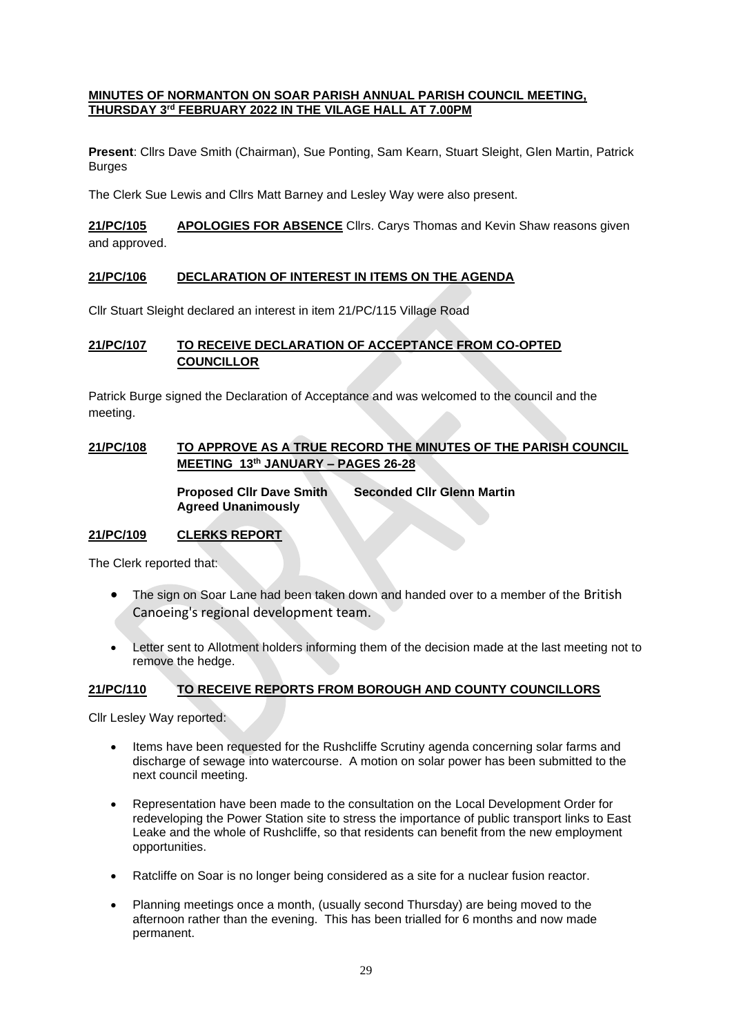#### **MINUTES OF NORMANTON ON SOAR PARISH ANNUAL PARISH COUNCIL MEETING, THURSDAY 3rd FEBRUARY 2022 IN THE VILAGE HALL AT 7.00PM**

**Present**: Cllrs Dave Smith (Chairman), Sue Ponting, Sam Kearn, Stuart Sleight, Glen Martin, Patrick Burges

The Clerk Sue Lewis and Cllrs Matt Barney and Lesley Way were also present.

**21/PC/105 APOLOGIES FOR ABSENCE** Cllrs. Carys Thomas and Kevin Shaw reasons given and approved.

## **21/PC/106 DECLARATION OF INTEREST IN ITEMS ON THE AGENDA**

Cllr Stuart Sleight declared an interest in item 21/PC/115 Village Road

## **21/PC/107 TO RECEIVE DECLARATION OF ACCEPTANCE FROM CO-OPTED COUNCILLOR**

Patrick Burge signed the Declaration of Acceptance and was welcomed to the council and the meeting.

# **21/PC/108 TO APPROVE AS A TRUE RECORD THE MINUTES OF THE PARISH COUNCIL MEETING 13th JANUARY – PAGES 26-28**

**Proposed Cllr Dave Smith Seconded Cllr Glenn Martin Agreed Unanimously**

## **21/PC/109 CLERKS REPORT**

The Clerk reported that:

- The sign on Soar Lane had been taken down and handed over to a member of the British Canoeing's regional development team.
- Letter sent to Allotment holders informing them of the decision made at the last meeting not to remove the hedge.

## **21/PC/110 TO RECEIVE REPORTS FROM BOROUGH AND COUNTY COUNCILLORS**

Cllr Lesley Way reported:

- Items have been requested for the Rushcliffe Scrutiny agenda concerning solar farms and discharge of sewage into watercourse. A motion on solar power has been submitted to the next council meeting.
- Representation have been made to the consultation on the Local Development Order for redeveloping the Power Station site to stress the importance of public transport links to East Leake and the whole of Rushcliffe, so that residents can benefit from the new employment opportunities.
- Ratcliffe on Soar is no longer being considered as a site for a nuclear fusion reactor.
- Planning meetings once a month, (usually second Thursday) are being moved to the afternoon rather than the evening. This has been trialled for 6 months and now made permanent.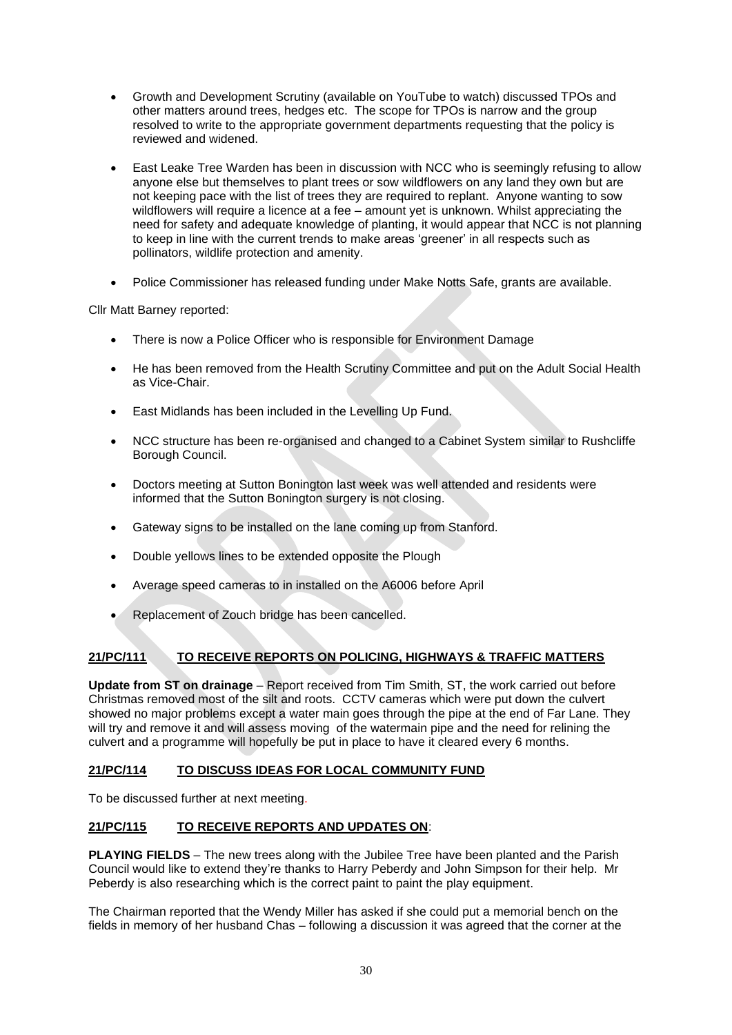- Growth and Development Scrutiny (available on YouTube to watch) discussed TPOs and other matters around trees, hedges etc. The scope for TPOs is narrow and the group resolved to write to the appropriate government departments requesting that the policy is reviewed and widened.
- East Leake Tree Warden has been in discussion with NCC who is seemingly refusing to allow anyone else but themselves to plant trees or sow wildflowers on any land they own but are not keeping pace with the list of trees they are required to replant. Anyone wanting to sow wildflowers will require a licence at a fee – amount yet is unknown. Whilst appreciating the need for safety and adequate knowledge of planting, it would appear that NCC is not planning to keep in line with the current trends to make areas 'greener' in all respects such as pollinators, wildlife protection and amenity.
- Police Commissioner has released funding under Make Notts Safe, grants are available.

Cllr Matt Barney reported:

- There is now a Police Officer who is responsible for Environment Damage
- He has been removed from the Health Scrutiny Committee and put on the Adult Social Health as Vice-Chair.
- East Midlands has been included in the Levelling Up Fund.
- NCC structure has been re-organised and changed to a Cabinet System similar to Rushcliffe Borough Council.
- Doctors meeting at Sutton Bonington last week was well attended and residents were informed that the Sutton Bonington surgery is not closing.
- Gateway signs to be installed on the lane coming up from Stanford.
- Double yellows lines to be extended opposite the Plough
- Average speed cameras to in installed on the A6006 before April
- Replacement of Zouch bridge has been cancelled.

# **21/PC/111 TO RECEIVE REPORTS ON POLICING, HIGHWAYS & TRAFFIC MATTERS**

**Update from ST on drainage** – Report received from Tim Smith, ST, the work carried out before Christmas removed most of the silt and roots. CCTV cameras which were put down the culvert showed no major problems except a water main goes through the pipe at the end of Far Lane. They will try and remove it and will assess moving of the watermain pipe and the need for relining the culvert and a programme will hopefully be put in place to have it cleared every 6 months.

## **21/PC/114 TO DISCUSS IDEAS FOR LOCAL COMMUNITY FUND**

To be discussed further at next meeting.

## **21/PC/115 TO RECEIVE REPORTS AND UPDATES ON**:

**PLAYING FIELDS** – The new trees along with the Jubilee Tree have been planted and the Parish Council would like to extend they're thanks to Harry Peberdy and John Simpson for their help. Mr Peberdy is also researching which is the correct paint to paint the play equipment.

The Chairman reported that the Wendy Miller has asked if she could put a memorial bench on the fields in memory of her husband Chas – following a discussion it was agreed that the corner at the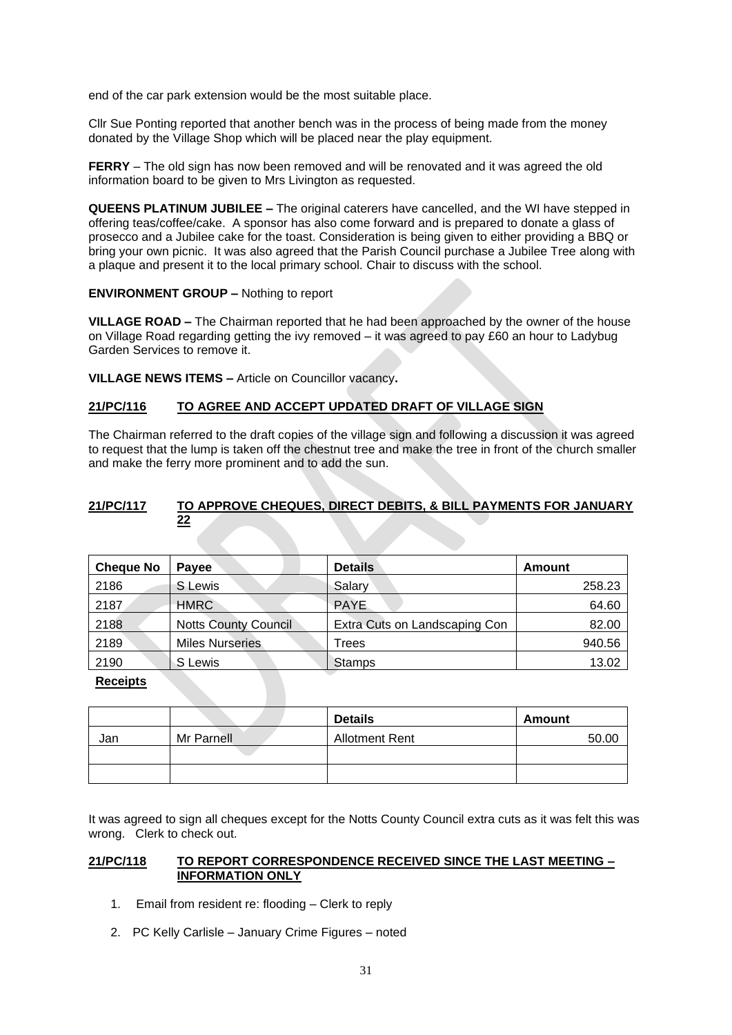end of the car park extension would be the most suitable place.

Cllr Sue Ponting reported that another bench was in the process of being made from the money donated by the Village Shop which will be placed near the play equipment.

**FERRY** – The old sign has now been removed and will be renovated and it was agreed the old information board to be given to Mrs Livington as requested.

**QUEENS PLATINUM JUBILEE –** The original caterers have cancelled, and the WI have stepped in offering teas/coffee/cake. A sponsor has also come forward and is prepared to donate a glass of prosecco and a Jubilee cake for the toast. Consideration is being given to either providing a BBQ or bring your own picnic. It was also agreed that the Parish Council purchase a Jubilee Tree along with a plaque and present it to the local primary school. Chair to discuss with the school.

#### **ENVIRONMENT GROUP –** Nothing to report

**VILLAGE ROAD –** The Chairman reported that he had been approached by the owner of the house on Village Road regarding getting the ivy removed – it was agreed to pay £60 an hour to Ladybug Garden Services to remove it.

**VILLAGE NEWS ITEMS –** Article on Councillor vacancy**.**

#### **21/PC/116 TO AGREE AND ACCEPT UPDATED DRAFT OF VILLAGE SIGN**

The Chairman referred to the draft copies of the village sign and following a discussion it was agreed to request that the lump is taken off the chestnut tree and make the tree in front of the church smaller and make the ferry more prominent and to add the sun.

## **21/PC/117 TO APPROVE CHEQUES, DIRECT DEBITS, & BILL PAYMENTS FOR JANUARY 22**

| <b>Cheque No</b> | <b>Pavee</b>                | <b>Details</b>                | Amount |
|------------------|-----------------------------|-------------------------------|--------|
| 2186             | S Lewis                     | Salary                        | 258.23 |
| 2187             | <b>HMRC</b>                 | <b>PAYE</b>                   | 64.60  |
| 2188             | <b>Notts County Council</b> | Extra Cuts on Landscaping Con | 82.00  |
| 2189             | <b>Miles Nurseries</b>      | <b>Trees</b>                  | 940.56 |
| 2190             | S Lewis                     | <b>Stamps</b>                 | 13.02  |

#### **Receipts**

|     |            | <b>Details</b>        | Amount |
|-----|------------|-----------------------|--------|
| Jan | Mr Parnell | <b>Allotment Rent</b> | 50.00  |
|     |            |                       |        |
|     |            |                       |        |

It was agreed to sign all cheques except for the Notts County Council extra cuts as it was felt this was wrong. Clerk to check out.

#### **21/PC/118 TO REPORT CORRESPONDENCE RECEIVED SINCE THE LAST MEETING – INFORMATION ONLY**

- 1. Email from resident re: flooding Clerk to reply
- 2. PC Kelly Carlisle January Crime Figures noted